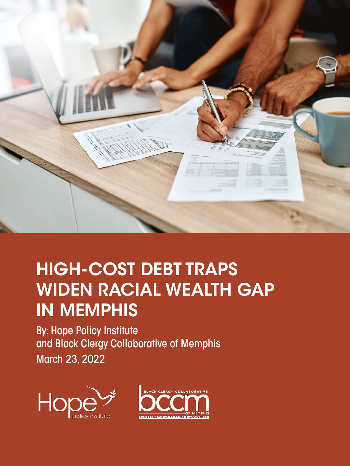

# HIGH-COST DEBT TRAPS WIDEN RACIAL WEALTH GAP IN MEMPHIS

By: Hope Policy Institute and Black Clergy Collaborative of Memphis March 23, 2022



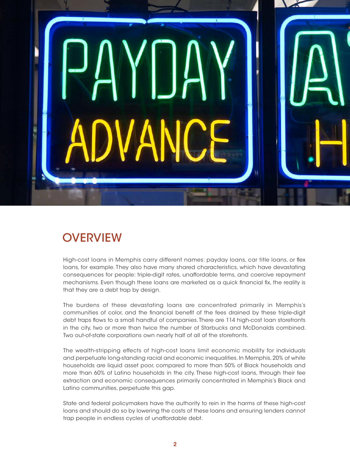

# **OVERVIEW**

High-cost loans in Memphis carry different names: payday loans, car title loans, or flex loans, for example. They also have many shared characteristics, which have devastating consequences for people: triple-digit rates, unaffordable terms, and coercive repayment mechanisms. Even though these loans are marketed as a quick financial fix, the reality is that they are a debt trap by design.

The burdens of these devastating loans are concentrated primarily in Memphis's communities of color, and the financial benefit of the fees drained by these triple-digit debt traps flows to a small handful of companies. There are 114 high-cost loan storefronts in the city, two or more than twice the number of Starbucks and McDonalds combined. Two out-of-state corporations own nearly half of all of the storefronts.

The wealth-stripping effects of high-cost loans limit economic mobility for individuals and perpetuate long-standing racial and economic inequalities. In Memphis, 20% of white households are liquid asset poor, compared to more than 50% of Black households and more than 60% of Latino households in the city. These high-cost loans, through their fee extraction and economic consequences primarily concentrated in Memphis's Black and Latino communities, perpetuate this gap.

State and federal policymakers have the authority to rein in the harms of these high-cost loans and should do so by lowering the costs of these loans and ensuring lenders cannot trap people in endless cycles of unaffordable debt.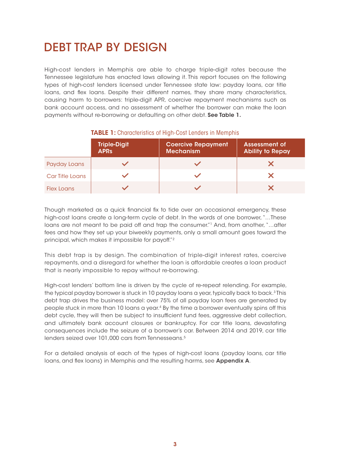# DEBT TRAP BY DESIGN

High-cost lenders in Memphis are able to charge triple-digit rates because the Tennessee legislature has enacted laws allowing it. This report focuses on the following types of high-cost lenders licensed under Tennessee state law: payday loans, car title loans, and flex loans. Despite their different names, they share many characteristics, causing harm to borrowers: triple-digit APR, coercive repayment mechanisms such as bank account access, and no assessment of whether the borrower can make the loan payments without re-borrowing or defaulting on other debt. See Table 1.

|                 | <b>Triple-Digit</b><br><b>APRS</b> | <b>Coercive Repayment</b><br><b>Mechanism</b> | <b>Assessment of</b><br><b>Ability to Repay</b> |
|-----------------|------------------------------------|-----------------------------------------------|-------------------------------------------------|
| Payday Loans    |                                    |                                               |                                                 |
| Car Title Loans |                                    |                                               |                                                 |
| Flex Loans      |                                    |                                               |                                                 |

#### TABLE 1: Characteristics of High-Cost Lenders in Memphis

Though marketed as a quick financial fix to tide over an occasional emergency, these high-cost loans create a long-term cycle of debt. In the words of one borrower, "…These loans are not meant to be paid off and trap the consumer.<sup>"1</sup> And, from another, "...after fees and how they set up your biweekly payments, only a small amount goes toward the principal, which makes it impossible for payoff."2

This debt trap is by design. The combination of triple-digit interest rates, coercive repayments, and a disregard for whether the loan is affordable creates a loan product that is nearly impossible to repay without re-borrowing.

High-cost lenders' bottom line is driven by the cycle of re-repeat relending. For example, the typical payday borrower is stuck in 10 payday loans a year, typically back to back.<sup>3</sup> This debt trap drives the business model: over 75% of all payday loan fees are generated by people stuck in more than 10 loans a year. 4 By the time a borrower eventually spins off this debt cycle, they will then be subject to insufficient fund fees, aggressive debt collection, and ultimately bank account closures or bankruptcy. For car title loans, devastating consequences include the seizure of a borrower's car. Between 2014 and 2019, car title lenders seized over 101,000 cars from Tennesseans.<sup>5</sup>

For a detailed analysis of each of the types of high-cost loans (payday loans, car title loans, and flex loans) in Memphis and the resulting harms, see Appendix A.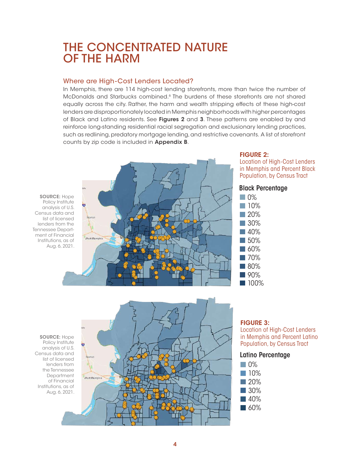## THE CONCENTRATED NATURE OF THE HARM

#### Where are High-Cost Lenders Located?

In Memphis, there are 114 high-cost lending storefronts, more than twice the number of McDonalds and Starbucks combined.6 The burdens of these storefronts are not shared equally across the city. Rather, the harm and wealth stripping effects of these high-cost lenders are disproportionately located in Memphis neighborhoods with higher percentages of Black and Latino residents. See Figures 2 and 3. These patterns are enabled by and reinforce long-standing residential racial segregation and exclusionary lending practices, such as redlining, predatory mortgage lending, and restrictive covenants. A list of storefront counts by zip code is included in Appendix B.

SOURCE: Hope Policy Institute analysis of U.S. Census data and list of licensed lenders from the Tennessee Department of Financial Institutions, as of Aug. 6, 2021.



#### FIGURE 2:

Location of High-Cost Lenders in Memphis and Percent Black Population, by Census Tract



SOURCE: Hope Policy Institute analysis of U.S. Census data and list of licensed lenders from the Tennessee Department of Financial Institutions, as of Aug. 6, 2021.



#### FIGURE 3:

Location of High-Cost Lenders in Memphis and Percent Latino Population, by Census Tract

#### Latino Percentage

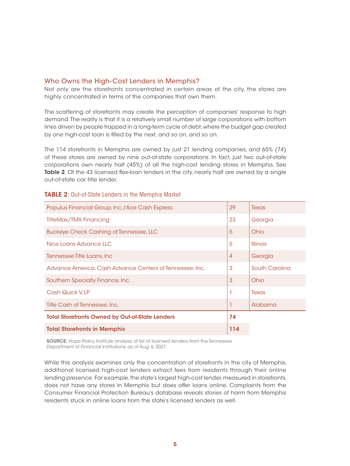#### Who Owns the High-Cost Lenders in Memphis?

Not only are the storefronts concentrated in certain areas of the city, the stores are highly concentrated in terms of the companies that own them.

The scattering of storefronts may create the perception of companies' response to high demand. The reality is that it is a relatively small number of large corporations with bottom lines driven by people trapped in a long-term cycle of debt, where the budget gap created by one high-cost loan is filled by the next, and so on, and so on.

The 114 storefronts in Memphis are owned by just 21 lending companies, and 65% (74) of these stores are owned by nine out-of-state corporations. In fact, just two out-of-state corporations own nearly half (45%) of all the high-cost lending stores in Memphis. See Table 2. Of the 43 licensed flex-loan lenders in the city, nearly half are owned by a single out-of-state car title lender.

| Populus Financial Group, Inc./Ace Cash Express           |                | Texas           |
|----------------------------------------------------------|----------------|-----------------|
| <b>TitleMax/TMX Financing</b>                            |                | Georgia         |
| <b>Buckeye Check Cashing of Tennessee, LLC</b>           | 5              | Ohio            |
| Nice Loans Advance LLC                                   | 5              | <b>Illinois</b> |
| Tennessee Title Loans, Inc                               | $\overline{4}$ | Georgia         |
| Advance America, Cash Advance Centers of Tennessee, Inc. | 3              | South Carolina  |
| Southern Specialty Finance, Inc.                         | 3              | Ohio            |
| Cash Quick V, LP                                         |                | Texas           |
| Title Cash of Tennessee, Inc.                            |                | Alabama         |
| <b>Total Storefronts Owned by Out-of-State Lenders</b>   | 74             |                 |
| <b>Total Storefronts in Memphis</b>                      |                |                 |

#### TABLE 2: Out-of-State Lenders in the Memphis Market

**SOURCE:** Hope Policy Institute analysis of list of licensed lenders from the Tennessee Department of Financial Institutions, as of Aug. 6, 2021

While this analysis examines only the concentration of storefronts in the city of Memphis, additional licensed high-cost lenders extract fees from residents through their online lending presence. For example, the state's largest high-cost lender, measured in storefronts, does not have any stores in Memphis but does offer loans online. Complaints from the Consumer Financial Protection Bureau's database reveals stories of harm from Memphis residents stuck in online loans from the state's licensed lenders as well.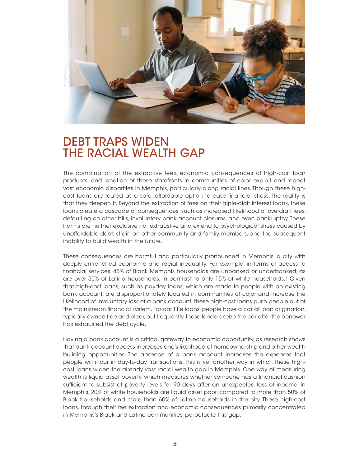

### DEBT TRAPS WIDEN THE RACIAL WEALTH GAP

The combination of the extractive fees, economic consequences of high-cost loan products, and location of these storefronts in communities of color exploit and repeat vast economic disparities in Memphis, particularly along racial lines. Though these highcost loans are touted as a safe, affordable option to ease financial stress, the reality is that they deepen it. Beyond the extraction of fees on their triple-digit interest loans, these loans create a cascade of consequences, such as increased likelihood of overdraft fees, defaulting on other bills, involuntary bank account closures, and even bankruptcy. These harms are neither exclusive nor exhaustive and extend to psychological stress caused by unaffordable debt, strain on other community and family members, and the subsequent inability to build wealth in the future.

These consequences are harmful and particularly pronounced in Memphis, a city with deeply entrenched economic and racial inequality. For example, in terms of access to financial services, 45% of Black Memphis households are unbanked or underbanked, as are over 50% of Latino households, in contrast to only 15% of white households.7 Given that high-cost loans, such as payday loans, which are made to people with an existing bank account, are disproportionately located in communities of color and increase the likelihood of involuntary loss of a bank account, these high-cost loans push people out of the mainstream financial system. For car title loans, people have a car at loan origination, typically owned free and clear, but frequently, these lenders seize the car after the borrower has exhausted the debt cycle.

Having a bank account is a critical gateway to economic opportunity, as research shows that bank account access increases one's likelihood of homeownership and other wealth building opportunities. The absence of a bank account increases the expenses that people will incur in day-to-day transactions. This is yet another way in which these highcost loans widen the already vast racial wealth gap in Memphis. One way of measuring wealth is liquid asset poverty, which measures whether someone has a financial cushion sufficient to subsist at poverty levels for 90 days after an unexpected loss of income. In Memphis, 20% of white households are liquid asset poor, compared to more than 50% of Black households and more than 60% of Latino households in the city. These high-cost loans, through their fee extraction and economic consequences primarily concentrated in Memphis's Black and Latino communities, perpetuate this gap.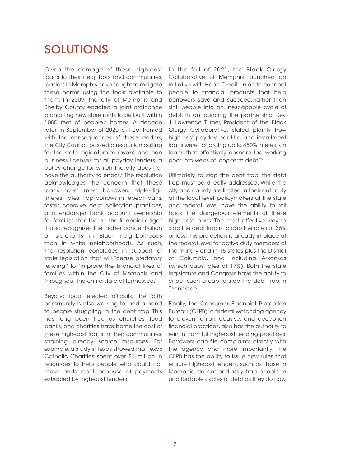# SOLUTIONS

Given the damage of these high-cost loans to their neighbors and communities, leaders in Memphis have sought to mitigate these harms using the tools available to them. In 2009, the city of Memphis and Shelby County enacted a joint ordinance prohibiting new storefronts to be built within 1000 feet of people's homes. A decade later, in September of 2020, still confronted with the consequences of these lenders, the City Council passed a resolution calling for the state legislature to revoke and ban business licenses for all payday lenders, a policy change for which the city does not have the authority to enact.<sup>8</sup> The resolution acknowledges the concern that these loans "cost most borrowers triple-digit interest rates, trap borrows in repeat loans, foster coercive debt collection practices, and endanger bank account ownership for families that live on the financial edge." It also recognizes the higher concentration of storefronts in Black neighborhoods than in white neighborhoods. As such, the resolution concludes in support of state legislation that will "cease predatory lending," to "improve the financial lives of families within the City of Memphis and throughout the entire state of Tennessee."

Beyond local elected officials, the faith community is also working to lend a hand to people struggling in the debt trap. This has long been true as churches, food banks, and charities have borne the cost of these high-cost loans in their communities, straining already scarce resources. For example, a study in Texas showed that Texas Catholic Charities spent over \$1 million in resources to help people who could not make ends meet because of payments extracted by high-cost lenders.

In the fall of 2021, the Black Clergy Collaborative of Memphis launched an initiative with Hope Credit Union to connect people to financial products that help borrowers save and succeed, rather than sink people into an inescapable cycle of debt. In announcing the partnership, Rev. J. Lawrence Turner, President of the Black Clergy Collaborative, stated plainly how high-cost payday, car title, and installment loans were, "charging up to 450% interest on loans that effectively ensnare the working poor into webs of long-term debt."9

Ultimately, to stop the debt trap, the debt trap must be directly addressed. While the city and county are limited in their authority at the local level, policymakers at the state and federal level have the ability to roll back the dangerous elements of these high-cost loans. The most effective way to stop the debt trap is to cap the rates at 36% or less. This protection is already in place at the federal level for active duty members of the military and in 18 states plus the District of Columbia, and including Arkansas (which caps rates at 17%). Both the state legislature and Congress have the ability to enact such a cap to stop the debt trap in Tennessee.

Finally, the Consumer Financial Protection Bureau (CFPB), a federal watchdog agency to prevent unfair, abusive, and deception financial practices, also has the authority to rein in harmful high-cost lending practices. Borrowers can file complaints directly with the agency, and more importantly, the CFPB has the ability to issue new rules that ensure high-cost lenders, such as those in Memphis, do not endlessly trap people in unaffordable cycles of debt as they do now.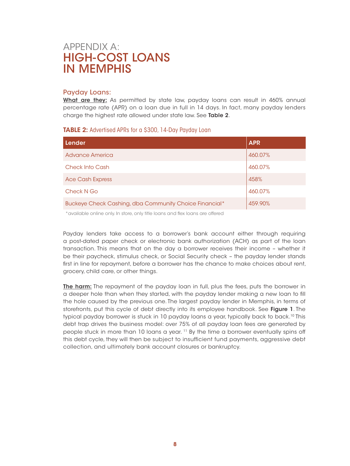### APPENDIX A: HIGH-COST LOANS IN MEMPHIS

#### Payday Loans:

What are they: As permitted by state law, payday loans can result in 460% annual percentage rate (APR) on a loan due in full in 14 days. In fact, many payday lenders charge the highest rate allowed under state law. See Table 2.

#### **TABLE 2:** Advertised APRs for a \$300, 14-Day Payday Loan

| Lender                                                 | <b>APR</b> |
|--------------------------------------------------------|------------|
| Advance America                                        | 460.07%    |
| <b>Check Into Cash</b>                                 | 460.07%    |
| <b>Ace Cash Express</b>                                | 458%       |
| Check N Go                                             | 460.07%    |
| Buckeye Check Cashing, dba Community Choice Financial* | 459.90%    |

\*available online only. In store, only title loans and flex loans are offered

Payday lenders take access to a borrower's bank account either through requiring a post-dated paper check or electronic bank authorization (ACH) as part of the loan transaction. This means that on the day a borrower receives their income – whether it be their paycheck, stimulus check, or Social Security check – the payday lender stands first in line for repayment, before a borrower has the chance to make choices about rent, grocery, child care, or other things.

The harm: The repayment of the payday loan in full, plus the fees, puts the borrower in a deeper hole than when they started, with the payday lender making a new loan to fill the hole caused by the previous one. The largest payday lender in Memphis, in terms of storefronts, put this cycle of debt directly into its employee handbook. See Figure 1. The typical payday borrower is stuck in 10 payday loans a year, typically back to back.10 This debt trap drives the business model: over 75% of all payday loan fees are generated by people stuck in more than 10 loans a year. 11 By the time a borrower eventually spins off this debt cycle, they will then be subject to insufficient fund payments, aggressive debt collection, and ultimately bank account closures or bankruptcy.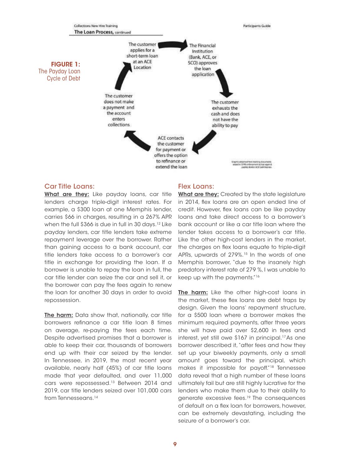

#### Car Title Loans:

What are they: Like payday loans, car title lenders charge triple-digit interest rates. For example, a \$300 loan at one Memphis lender, carries \$66 in charges, resulting in a 267% APR when the full \$366 is due in full in 30 days.<sup>12</sup> Like payday lenders, car title lenders take extreme repayment leverage over the borrower. Rather than gaining access to a bank account, car title lenders take access to a borrower's car title in exchange for providing the loan. If a borrower is unable to repay the loan in full, the car title lender can seize the car and sell it, or the borrower can pay the fees again to renew the loan for another 30 days in order to avoid repossession.

The harm: Data show that, nationally, car title borrowers refinance a car title loan 8 times on average, re-paying the fees each time. Despite advertised promises that a borrower is able to keep their car, thousands of borrowers end up with their car seized by the lender. In Tennessee, in 2019, the most recent year available, nearly half (45%) of car title loans made that year defaulted, and over 11,000 cars were repossessed.<sup>13</sup> Between 2014 and 2019, car title lenders seized over 101,000 cars from Tennesseans.<sup>14</sup>

#### Flex Loans:

What are they: Created by the state legislature in 2014, flex loans are an open ended line of credit. However, flex loans can be like payday loans and take direct access to a borrower's bank account or like a car title loan where the lender takes access to a borrower's car title. Like the other high-cost lenders in the market, the charges on flex loans equate to triple-digit APRs, upwards of 279%.<sup>15</sup> In the words of one Memphis borrower, "due to the insanely high predatory interest rate of 279 %, I was unable to keep up with the payments."16

The harm: Like the other high-cost loans in the market, these flex loans are debt traps by design. Given the loans' repayment structure, for a \$500 loan where a borrower makes the minimum required payments, after three years she will have paid over \$2,600 in fees and interest, yet still owe \$167 in principal.17As one borrower described it, "after fees and how they set up your biweekly payments, only a small amount goes toward the principal, which makes it impossible for payoff."18 Tennessee data reveal that a high number of these loans ultimately fail but are still highly lucrative for the lenders who make them due to their ability to generate excessive fees.19 The consequences of default on a flex loan for borrowers, however, can be extremely devastating, including the seizure of a borrower's car.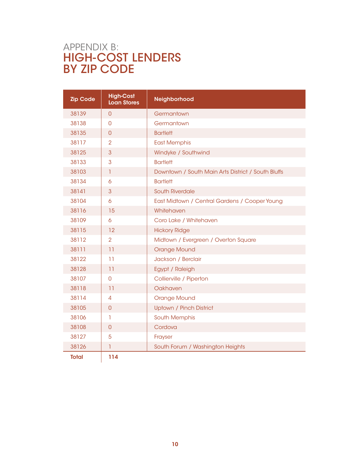### APPENDIX B: HIGH-COST LENDERS BY ZIP CODE

| <b>Zip Code</b> | <b>High-Cost</b><br><b>Loan Stores</b> | Neighborhood                                       |
|-----------------|----------------------------------------|----------------------------------------------------|
| 38139           | $\overline{0}$                         | Germantown                                         |
| 38138           | $\Omega$                               | Germantown                                         |
| 38135           | $\overline{0}$                         | <b>Bartlett</b>                                    |
| 38117           | $\overline{2}$                         | <b>East Memphis</b>                                |
| 38125           | 3                                      | Windyke / Southwind                                |
| 38133           | 3                                      | <b>Bartlett</b>                                    |
| 38103           | $\mathbf{I}$                           | Downtown / South Main Arts District / South Bluffs |
| 38134           | 6                                      | <b>Bartlett</b>                                    |
| 38141           | 3                                      | <b>South Riverdale</b>                             |
| 38104           | 6                                      | East Midtown / Central Gardens / Cooper Young      |
| 38116           | 15                                     | Whitehaven                                         |
| 38109           | 6                                      | Coro Lake / Whitehaven                             |
| 38115           | 12                                     | <b>Hickory Ridge</b>                               |
| 38112           | $\overline{2}$                         | Midtown / Evergreen / Overton Square               |
| 38111           | 11                                     | <b>Orange Mound</b>                                |
| 38122           | 11                                     | Jackson / Berclair                                 |
| 38128           | 11                                     | Egypt / Raleigh                                    |
| 38107           | 0                                      | Collierville / Piperton                            |
| 38118           | 11                                     | Oakhaven                                           |
| 38114           | $\overline{4}$                         | <b>Orange Mound</b>                                |
| 38105           | $\overline{0}$                         | Uptown / Pinch District                            |
| 38106           | T                                      | <b>South Memphis</b>                               |
| 38108           | $\overline{0}$                         | Cordova                                            |
| 38127           | 5                                      | Frayser                                            |
| 38126           | 1                                      | South Forum / Washington Heights                   |
| <b>Total</b>    | 114                                    |                                                    |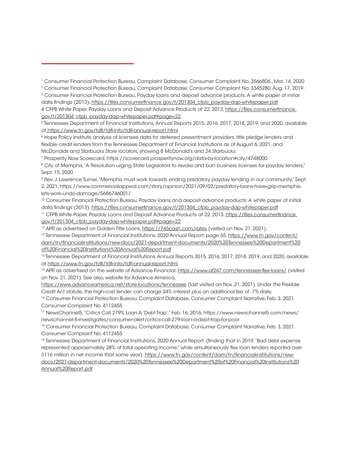3 Consumer Financial Protection Bureau, Payday loans and deposit advance products: A white paper of initial data findings (2013), [https://files.consumerfinance.gov/f/201304\\_cfpb\\_payday-dap-whitepaper.pdf](https://files.consumerfinance.gov/f/201304_cfpb_payday-dap-whitepaper.pdf) 4 CFPB White Paper, Payday Loans and Deposit Advance Products at 22, 2013, [https://files.consumerfinance.](https://files.consumerfinance.gov/f/201304_cfpb_payday-dap-whitepaper.pdf#page=22 ) [gov/f/201304\\_cfpb\\_payday-dap-whitepaper.pdf#page=22](https://files.consumerfinance.gov/f/201304_cfpb_payday-dap-whitepaper.pdf#page=22 )

5 Tennessee Department of Financial Institutions, Annual Reports 2015, 2016, 2017, 2018, 2019, and 2020, available a[t https://www.tn.gov/tdfi/tdfi-info/tdfi-annual-report.html]( https://www.tn.gov/tdfi/tdfi-info/tdfi-annual-report.html)

6 Hope Policy Institute analysis of licensee data for deferred presentment providers, title pledge lenders and flexible credit lenders from the Tennessee Department of Financial Institutions as of August 6, 2021, and McDonalds and Starbucks Store locators, showing 8 McDonald's and 24 Starbucks.

7 Prosperity Now Scorecard, https://scorecard.prosperitynow.org/data-by-location#city/4748000

<sup>8</sup> City of Memphis, "A Resolution urging State Legislators to revoke and ban business licenses for payday lenders," Sept. 15, 2020

9 Rev. J. Lawrence Turner, "Memphis must work towards ending predatory payday lending in our community," Sept. 2, 2021, https://www.commercialappeal.com/story/opinion/2021/09/02/predatory-loans-have-grip-memphislets-work-undo-damage/5686746001/

10 Consumer Financial Protection Bureau, Payday loans and deposit advance products: A white paper of initial data findings (2013), [https://files.consumerfinance.gov/f/201304\\_cfpb\\_payday-dap-whitepaper.pdf](https://files.consumerfinance.gov/f/201304_cfpb_payday-dap-whitepaper.pdf )

<sup>11</sup> CFPB White Paper, Payday Loans and Deposit Advance Products at 22, 2013, [https://files.consumerfinance.](https://files.consumerfinance.gov/f/201304_cfpb_payday-dap-whitepaper.pdf#page=22 ) [gov/f/201304\\_cfpb\\_payday-dap-whitepaper.pdf#page=22](https://files.consumerfinance.gov/f/201304_cfpb_payday-dap-whitepaper.pdf#page=22 )

<sup>12</sup> APR as advertised on Golden Title Loans,<https://745cash.com/rates>(visited on Nov. 21, 2021).

13 Tennessee Department of Financial Institutions, 2020 Annual Report, page 55, [https://www.tn.gov/content/](https://www.tn.gov/content/dam/tn/financialinstitutions/new-docs/2021-department-documents/2020%20Te) [dam/tn/financialinstitutions/new-docs/2021-department-documents/2020%20Tennessee%20Department%20](https://www.tn.gov/content/dam/tn/financialinstitutions/new-docs/2021-department-documents/2020%20Te) [of%20Financial%20Institutions%20Annual%20Report.pdf](https://www.tn.gov/content/dam/tn/financialinstitutions/new-docs/2021-department-documents/2020%20Te)

<sup>14</sup> Tennessee Department of Financial Institutions, Annual Reports 2015, 2016, 2017, 2018, 2019, and 2020, available at<https://www.tn.gov/tdfi/tdfi-info/tdfi-annual-report.html>

<sup>15</sup> APR as advertised on the website of Advance Financial,<https://www.af247.com/tennessee-flex-loans/> (visited on Nov. 21, 2021). See also, website for Advance America,

<https://www.advanceamerica.net/store-locations/tennessee> (last visited on Nov. 21, 2021). Under the Flexible Credit Act statute, the high-cost lender can charge 24% interest plus an additional fee of .7% daily.

<sup>16</sup> Consumer Financial Protection Bureau, Complaint Database, Consumer Complaint Narrative, Feb. 3, 2021. Consumer Complaint No. 4112455

17 NewsChannel5, "Critics Call 279% Loan A 'Debt Trap'," Feb. 16, 2016, https://www.newschannel5.com/news/ newschannel-5-investigates/consumer-alert/critics-call-279-loan-a-debt-trap-for-poor

18 Consumer Financial Protection Bureau, Complaint Database, Consumer Complaint Narrative, Feb. 3, 2021. Consumer Complaint No. 4112455

19 Tennessee Department of Financial Institutions, 2020 Annual Report, (finding that in 2019, "Bad debt expense represented approximately 38% of total operating income," while simultaneously flex loan lenders reported over \$116 million in net income that same year). [https://www.tn.gov/content/dam/tn/financialinstitutions/new](https://www.tn.gov/content/dam/tn/financialinstitutions/new-docs/2021-department-documents/2020%20Te)[docs/2021-department-documents/2020%20Tennessee%20Department%20of%20Financial%20Institutions%20](https://www.tn.gov/content/dam/tn/financialinstitutions/new-docs/2021-department-documents/2020%20Te)

[Annual%20Report.pdf](https://www.tn.gov/content/dam/tn/financialinstitutions/new-docs/2021-department-documents/2020%20Te)

<sup>1</sup> Consumer Financial Protection Bureau, Complaint Database, Consumer Complaint No. 3566806., Mar. 14, 2020

<sup>2</sup> Consumer Financial Protection Bureau, Complaint Database, Consumer Compliant No. 3345280, Aug. 17, 2019.